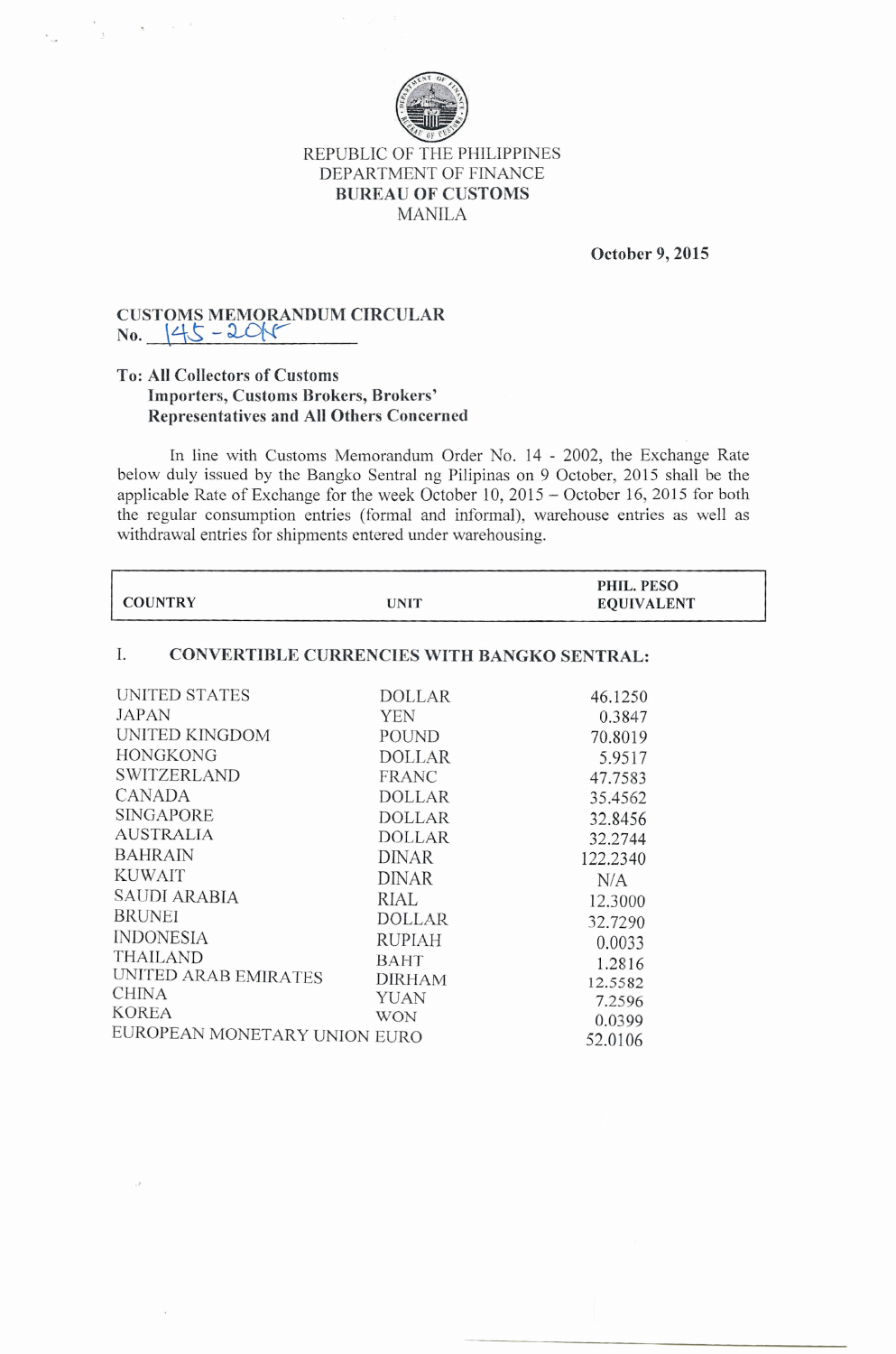

### REPUBLIC OF THE PHILIPPINES DEPARTMENT OF FINANCE **BUREAU OF CUSTOMS** MANILA

**October 9, 2015**

#### **CUSTOMS MEMORANDUM CIRCULAR**  $No.$   $|45 - 201$

 $\mathfrak{g}_1$  ,  $\mathfrak{g}_2$  ,  $\mathfrak{g}_3$ 

 $\Lambda$ 

#### **To: All Collectors of Customs Importers, Customs Brokers, Brokers' Representatives and All Others Concerned**

In line with Customs Memorandum Order No. **14 -** 2002, the Exchange Rate below duly issued by the Bangko Sentral ng Pilipinas on 9 October, 2015 shall be the applicable Rate of Exchange for the week October 10,2015 - October 16,2015 for both the regular consumption entries (formal and informal), warehouse entries as well as withdrawal entries for shipments entered under warehousing.

|                |      | PHIL. PESO        |
|----------------|------|-------------------|
| <b>COUNTRY</b> | UNIT | <b>EQUIVALENT</b> |

## 1. **CONVERTIBLE CURRENCIES WITH BANGKO SENTRAL:**

| <b>UNITED STATES</b>         | DOLLAR        | 46.1250  |
|------------------------------|---------------|----------|
| JAPAN                        | YEN           | 0.3847   |
| UNITED KINGDOM               | POUND         | 70.8019  |
| <b>HONGKONG</b>              | <b>DOLLAR</b> | 5.9517   |
| <b>SWITZERLAND</b>           | <b>FRANC</b>  | 47.7583  |
| <b>CANADA</b>                | <b>DOLLAR</b> | 35.4562  |
| <b>SINGAPORE</b>             | <b>DOLLAR</b> | 32.8456  |
| <b>AUSTRALIA</b>             | <b>DOLLAR</b> | 32.2744  |
| <b>BAHRAIN</b>               | <b>DINAR</b>  | 122.2340 |
| <b>KUWAIT</b>                | DINAR         | N/A      |
| <b>SAUDI ARABIA</b>          | RIAL          | 12.3000  |
| <b>BRUNEI</b>                | <b>DOLLAR</b> | 32.7290  |
| <b>INDONESIA</b>             | <b>RUPIAH</b> | 0.0033   |
| <b>THAILAND</b>              | BAHT          | 1.2816   |
| UNITED ARAB EMIRATES         | <b>DIRHAM</b> | 12.5582  |
| <b>CHINA</b>                 | YUAN          | 7.2596   |
| <b>KOREA</b>                 | <b>WON</b>    | 0.0399   |
| EUROPEAN MONETARY UNION EURO |               | 52.0106  |
|                              |               |          |